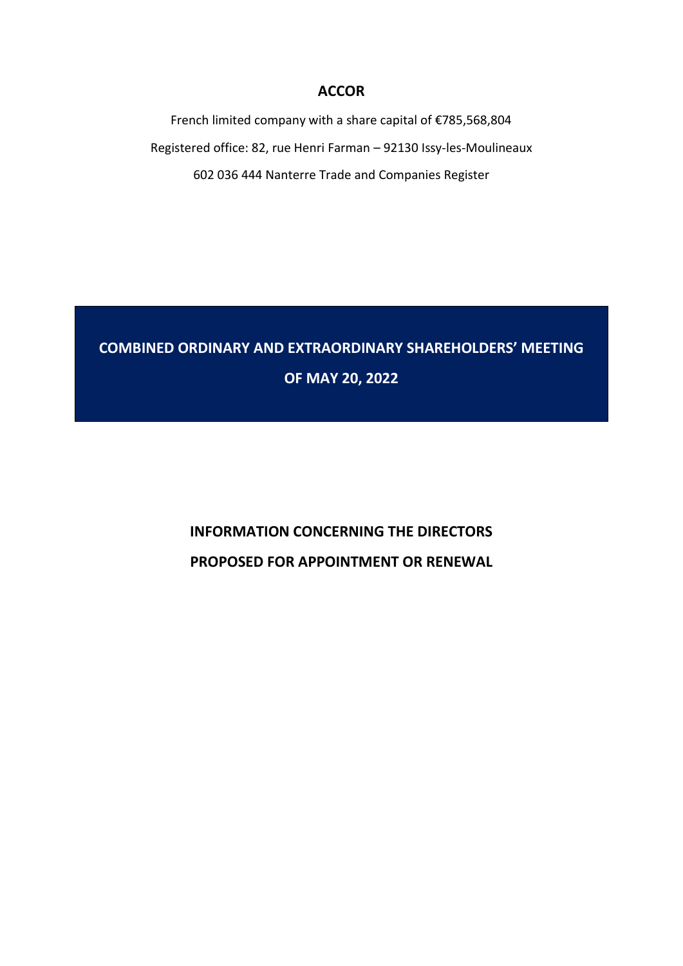### **ACCOR**

French limited company with a share capital of €785,568,804 Registered office: 82, rue Henri Farman – 92130 Issy-les-Moulineaux 602 036 444 Nanterre Trade and Companies Register

# **COMBINED ORDINARY AND EXTRAORDINARY SHAREHOLDERS' MEETING OF MAY 20, 2022**

# **INFORMATION CONCERNING THE DIRECTORS PROPOSED FOR APPOINTMENT OR RENEWAL**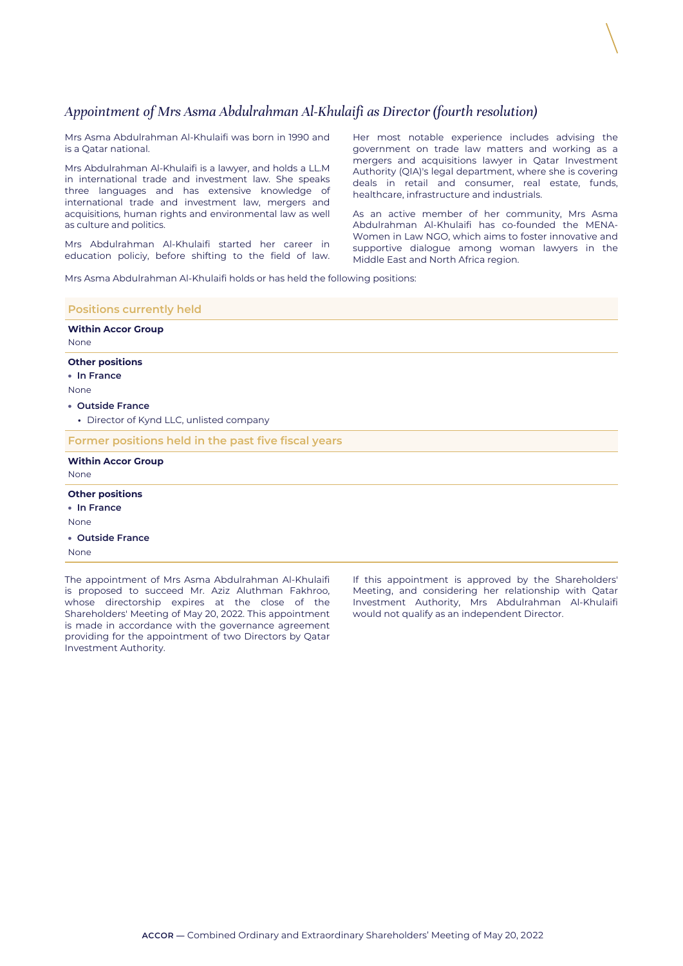## *Appointment of Mrs Asma Abdulrahman Al-Khulaifi as Director (fourth resolution)*

Mrs Asma Abdulrahman Al-Khulaifi was born in 1990 and is a Qatar national.

Mrs Abdulrahman Al-Khulaifi is a lawyer, and holds a LL.M in international trade and investment law. She speaks three languages and has extensive knowledge of international trade and investment law, mergers and acquisitions, human rights and environmental law as well as culture and politics.

Mrs Abdulrahman Al-Khulaifi started her career in education policiy, before shifting to the field of law. Her most notable experience includes advising the government on trade law matters and working as a mergers and acquisitions lawyer in Qatar Investment Authority (QIA)'s legal department, where she is covering deals in retail and consumer, real estate, funds, healthcare, infrastructure and industrials.

As an active member of her community, Mrs Asma Abdulrahman Al-Khulaifi has co-founded the MENA-Women in Law NGO, which aims to foster innovative and supportive dialogue among woman lawyers in the Middle East and North Africa region.

Mrs Asma Abdulrahman Al-Khulaifi holds or has held the following positions:

| <b>Positions currently held</b>                                                                                                                                          |                                                                                                                               |
|--------------------------------------------------------------------------------------------------------------------------------------------------------------------------|-------------------------------------------------------------------------------------------------------------------------------|
| <b>Within Accor Group</b><br>None                                                                                                                                        |                                                                                                                               |
| <b>Other positions</b><br>• In France<br>None<br>• Outside France<br>• Director of Kynd LLC, unlisted company                                                            |                                                                                                                               |
| Former positions held in the past five fiscal years                                                                                                                      |                                                                                                                               |
| <b>Within Accor Group</b><br>None                                                                                                                                        |                                                                                                                               |
| <b>Other positions</b><br>$\cdot$ In France<br>None<br>• Outside France<br>None                                                                                          |                                                                                                                               |
| The appointment of Mrs Asma Abdulrahman Al-Khulaifi<br>المتعاط المتحاصر والمستطر المستحير المستحدد والمستحدث والمستحدث والمستحدث والمستحدث والمستحدث والمستحدث والمستحدث | If this appointment is approved by the Shareholders'<br>المتعاط والمشاري والمستطيعات والمستحدث والمستحدث والمستحدث والمستحادة |

is proposed to succeed Mr. Aziz Aluthman Fakhroo, whose directorship expires at the close of the Shareholders' Meeting of May 20, 2022. This appointment is made in accordance with the governance agreement providing for the appointment of two Directors by Qatar Investment Authority.

Meeting, and considering her relationship with Qatar Investment Authority, Mrs Abdulrahman Al-Khulaifi would not qualify as an independent Director.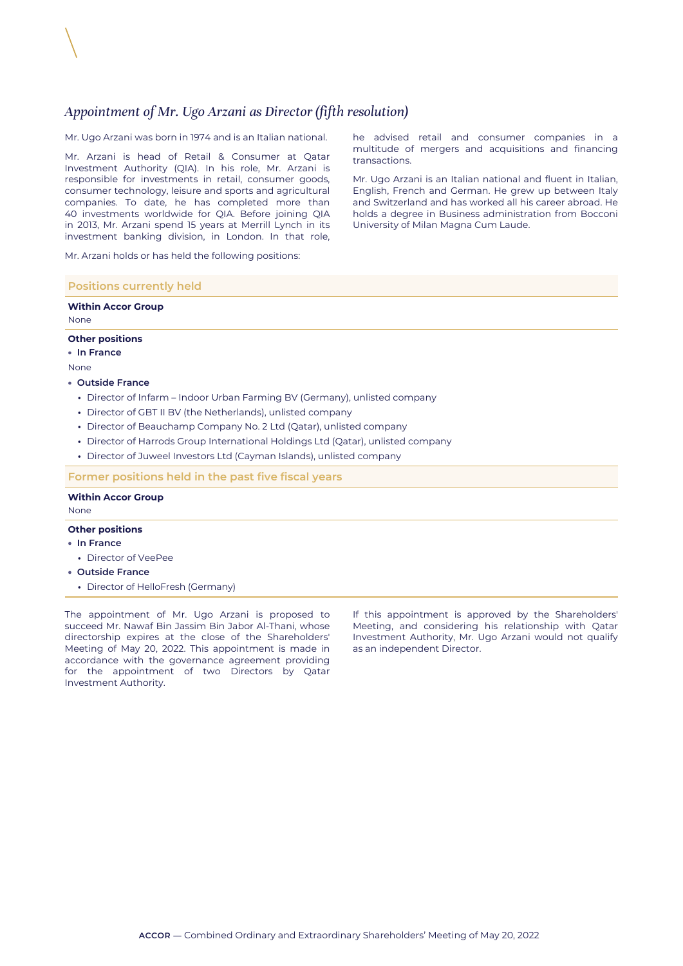## *Appointment of Mr. Ugo Arzani as Director (fifth resolution)*

Mr. Ugo Arzani was born in 1974 and is an Italian national.

Mr. Arzani is head of Retail & Consumer at Qatar Investment Authority (QIA). In his role, Mr. Arzani is responsible for investments in retail, consumer goods, consumer technology, leisure and sports and agricultural companies. To date, he has completed more than 40 investments worldwide for QIA. Before joining QIA in 2013, Mr. Arzani spend 15 years at Merrill Lynch in its investment banking division, in London. In that role,

Mr. Arzani holds or has held the following positions:

#### **Positions currently held**

### **Within Accor Group**

None

### **Other positions**

• **In France**

None

#### • **Outside France**

- **•** Director of Infarm Indoor Urban Farming BV (Germany), unlisted company
- **•** Director of GBT II BV (the Netherlands), unlisted company
- **•** Director of Beauchamp Company No. 2 Ltd (Qatar), unlisted company
- **•** Director of Harrods Group International Holdings Ltd (Qatar), unlisted company
- **•** Director of Juweel Investors Ltd (Cayman Islands), unlisted company

#### **Former positions held in the past five fiscal years**

#### **Within Accor Group**

None

#### **Other positions**

- **In France**
- **•** Director of VeePee
- **Outside France**
- **•** Director of HelloFresh (Germany)

The appointment of Mr. Ugo Arzani is proposed to succeed Mr. Nawaf Bin Jassim Bin Jabor Al-Thani, whose directorship expires at the close of the Shareholders' Meeting of May 20, 2022. This appointment is made in accordance with the governance agreement providing for the appointment of two Directors by Qatar Investment Authority.

If this appointment is approved by the Shareholders' Meeting, and considering his relationship with Qatar Investment Authority, Mr. Ugo Arzani would not qualify as an independent Director.

he advised retail and consumer companies in a multitude of mergers and acquisitions and financing transactions.

Mr. Ugo Arzani is an Italian national and fluent in Italian, English, French and German. He grew up between Italy and Switzerland and has worked all his career abroad. He holds a degree in Business administration from Bocconi University of Milan Magna Cum Laude.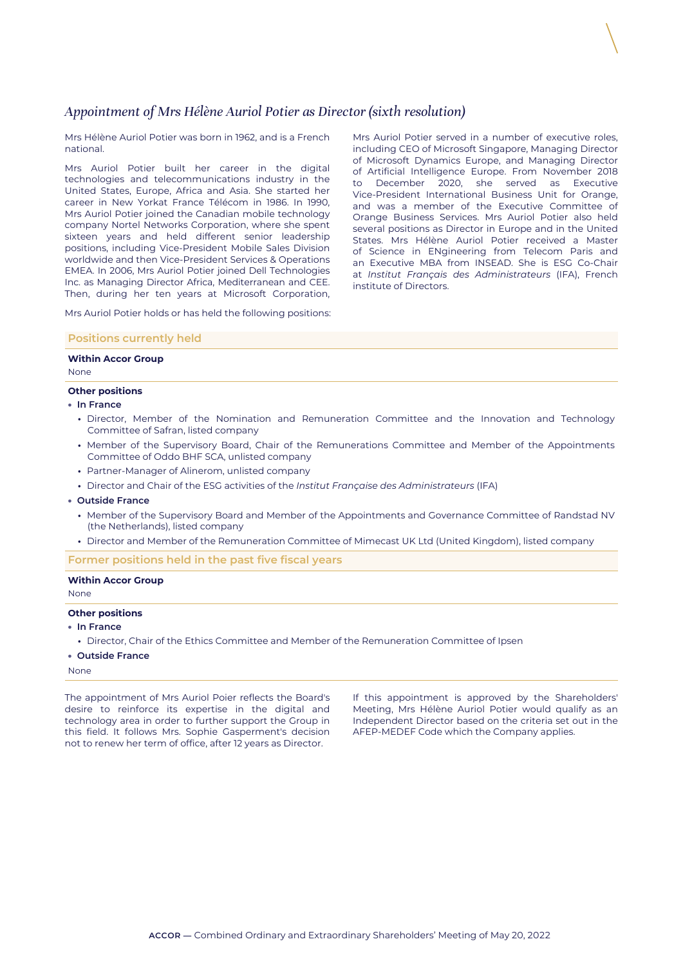### *Appointment of Mrs Hélène Auriol Potier as Director (sixth resolution)*

Mrs Hélène Auriol Potier was born in 1962, and is a French national.

Mrs Auriol Potier built her career in the digital technologies and telecommunications industry in the United States, Europe, Africa and Asia. She started her career in New Yorkat France Télécom in 1986. In 1990, Mrs Auriol Potier joined the Canadian mobile technology company Nortel Networks Corporation, where she spent sixteen years and held different senior leadership positions, including Vice-President Mobile Sales Division worldwide and then Vice-President Services & Operations EMEA. In 2006, Mrs Auriol Potier joined Dell Technologies Inc. as Managing Director Africa, Mediterranean and CEE. Then, during her ten years at Microsoft Corporation,

Mrs Auriol Potier served in a number of executive roles, including CEO of Microsoft Singapore, Managing Director of Microsoft Dynamics Europe, and Managing Director of Artificial Intelligence Europe. From November 2018 to December 2020, she served as Executive Vice‑President International Business Unit for Orange, and was a member of the Executive Committee of Orange Business Services. Mrs Auriol Potier also held several positions as Director in Europe and in the United States. Mrs Hélène Auriol Potier received a Master of Science in ENgineering from Telecom Paris and an Executive MBA from INSEAD. She is ESG Co-Chair at *Institut Français des Administrateurs* (IFA), French institute of Directors.

Mrs Auriol Potier holds or has held the following positions:

#### **Positions currently held**

#### **Within Accor Group**

None

#### **Other positions**

- **In France**
	- **•** Director, Member of the Nomination and Remuneration Committee and the Innovation and Technology Committee of Safran, listed company
	- **•** Member of the Supervisory Board, Chair of the Remunerations Committee and Member of the Appointments Committee of Oddo BHF SCA, unlisted company
	- **•** Partner-Manager of Alinerom, unlisted company
	- **•** Director and Chair of the ESG activities of the *Institut Française des Administrateurs* (IFA)
- **Outside France**
	- **•** Member of the Supervisory Board and Member of the Appointments and Governance Committee of Randstad NV (the Netherlands), listed company
	- **•** Director and Member of the Remuneration Committee of Mimecast UK Ltd (United Kingdom), listed company

**Former positions held in the past five fiscal years**

#### **Within Accor Group**

None

#### **Other positions**

- **In France**
- **•** Director, Chair of the Ethics Committee and Member of the Remuneration Committee of Ipsen

• **Outside France**

#### None

The appointment of Mrs Auriol Poier reflects the Board's desire to reinforce its expertise in the digital and technology area in order to further support the Group in this field. It follows Mrs. Sophie Gasperment's decision not to renew her term of office, after 12 years as Director.

If this appointment is approved by the Shareholders' Meeting, Mrs Hélène Auriol Potier would qualify as an Independent Director based on the criteria set out in the AFEP-MEDEF Code which the Company applies.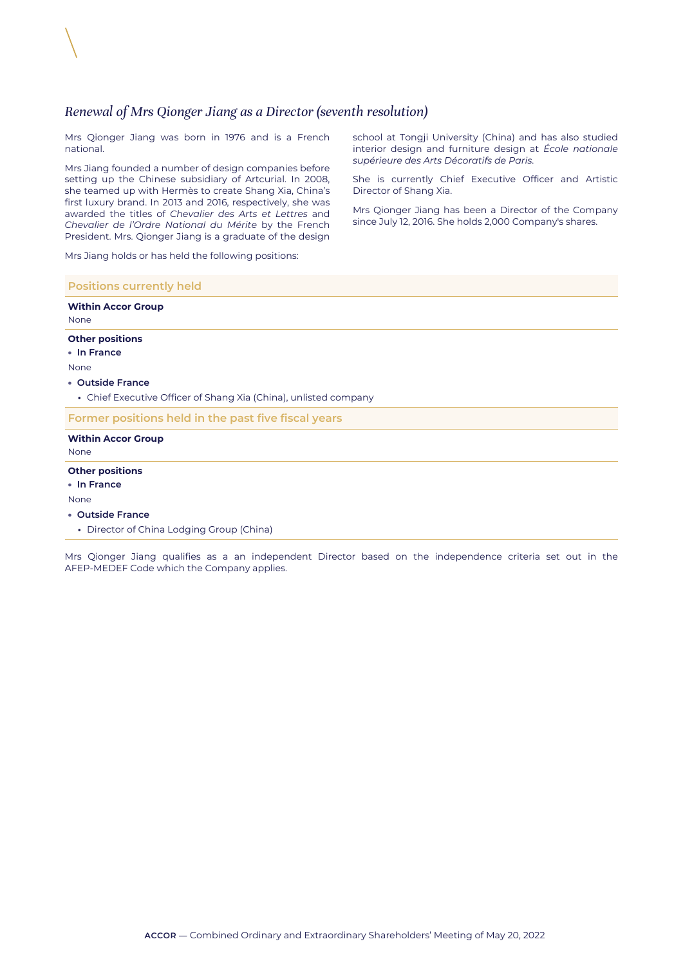### *Renewal of Mrs Qionger Jiang as a Director (seventh resolution)*

Mrs Qionger Jiang was born in 1976 and is a French national.

Mrs Jiang founded a number of design companies before setting up the Chinese subsidiary of Artcurial. In 2008, she teamed up with Hermès to create Shang Xia, China's first luxury brand. In 2013 and 2016, respectively, she was awarded the titles of *Chevalier des Arts et Lettres* and *Chevalier de l'Ordre National du Mérite* by the French President. Mrs. Qionger Jiang is a graduate of the design

school at Tongji University (China) and has also studied interior design and furniture design at *École nationale supérieure des Arts Décoratifs de Paris*.

She is currently Chief Executive Officer and Artistic Director of Shang Xia.

Mrs Qionger Jiang has been a Director of the Company since July 12, 2016. She holds 2,000 Company's shares.

Mrs Jiang holds or has held the following positions:

### **Positions currently held**

### **Within Accor Group** None **Other positions** • **In France** None • **Outside France •** Chief Executive Officer of Shang Xia (China), unlisted company **Former positions held in the past five fiscal years Within Accor Group** None **Other positions** • **In France** None

#### • **Outside France**

**•** Director of China Lodging Group (China)

Mrs Qionger Jiang qualifies as a an independent Director based on the independence criteria set out in the AFEP‑MEDEF Code which the Company applies.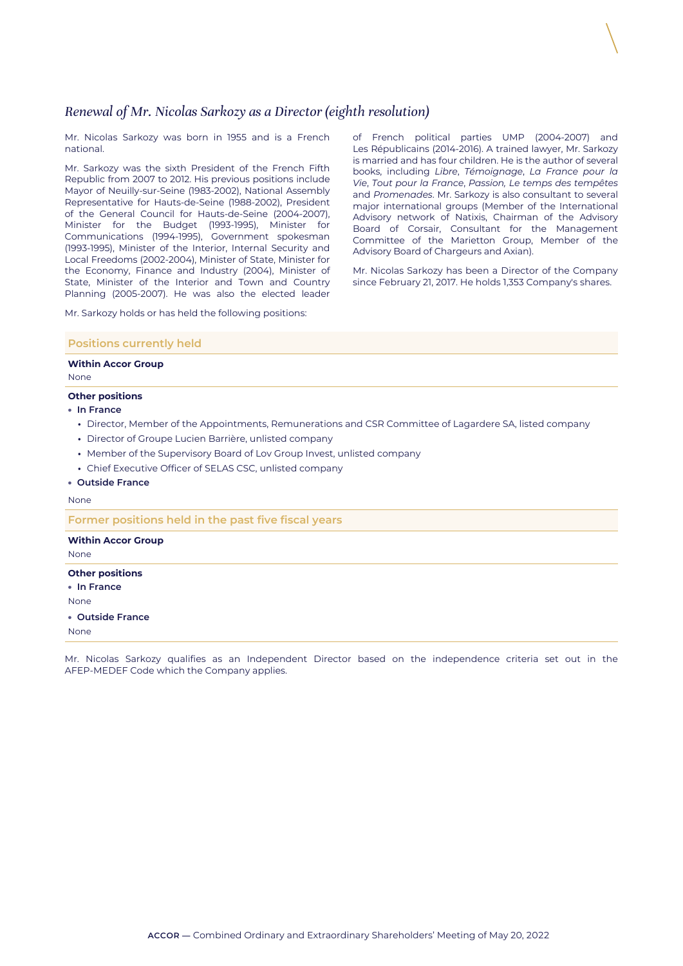## *Renewal of Mr. Nicolas Sarkozy as a Director (eighth resolution)*

Mr. Nicolas Sarkozy was born in 1955 and is a French national.

Mr. Sarkozy was the sixth President of the French Fifth Republic from 2007 to 2012. His previous positions include Mayor of Neuilly-sur-Seine (1983-2002), National Assembly Representative for Hauts-de-Seine (1988-2002), President of the General Council for Hauts-de-Seine (2004‑2007), Minister for the Budget (1993-1995), Minister for Communications (1994-1995), Government spokesman (1993-1995), Minister of the Interior, Internal Security and Local Freedoms (2002-2004), Minister of State, Minister for the Economy, Finance and Industry (2004), Minister of State, Minister of the Interior and Town and Country Planning (2005-2007). He was also the elected leader

Mr. Sarkozy holds or has held the following positions:

of French political parties UMP (2004-2007) and Les Républicains (2014-2016). A trained lawyer, Mr. Sarkozy is married and has four children. He is the author of several books, including *Libre*, *Témoignage*, *La France pour la Vie*, *Tout pour la France*, *Passion, Le temps des tempêtes* and *Promenades*. Mr. Sarkozy is also consultant to several major international groups (Member of the International Advisory network of Natixis, Chairman of the Advisory Board of Corsair, Consultant for the Management Committee of the Marietton Group, Member of the Advisory Board of Chargeurs and Axian).

Mr. Nicolas Sarkozy has been a Director of the Company since February 21, 2017. He holds 1,353 Company's shares.

#### **Positions currently held**

#### **Within Accor Group**

None

#### **Other positions**

- **In France**
	- **•** Director, Member of the Appointments, Remunerations and CSR Committee of Lagardere SA, listed company
	- **•** Director of Groupe Lucien Barrière, unlisted company
	- **•** Member of the Supervisory Board of Lov Group Invest, unlisted company
	- **•** Chief Executive Officer of SELAS CSC, unlisted company

#### • **Outside France**

None

**Former positions held in the past five fiscal years**

#### **Within Accor Group**

None

#### **Other positions**

• **In France**

- None
- **Outside France**

None

Mr. Nicolas Sarkozy qualifies as an Independent Director based on the independence criteria set out in the AFEP‑MEDEF Code which the Company applies.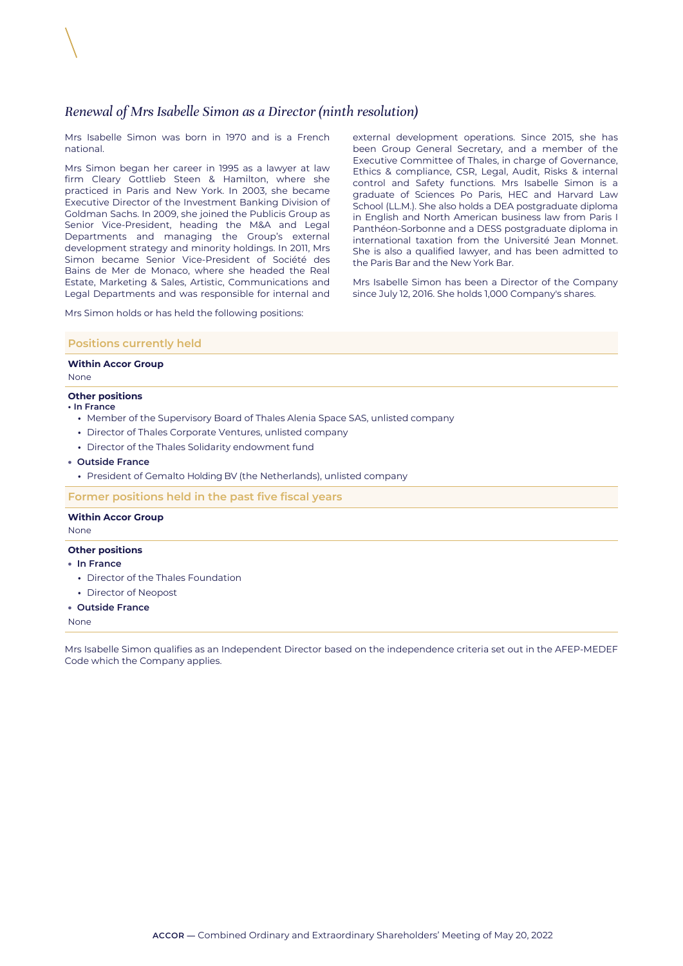### *Renewal of Mrs Isabelle Simon as a Director (ninth resolution)*

Mrs Isabelle Simon was born in 1970 and is a French national.

Mrs Simon began her career in 1995 as a lawyer at law firm Cleary Gottlieb Steen & Hamilton, where she practiced in Paris and New York. In 2003, she became Executive Director of the Investment Banking Division of Goldman Sachs. In 2009, she joined the Publicis Group as Senior Vice-President, heading the M&A and Legal Departments and managing the Group's external development strategy and minority holdings. In 2011, Mrs Simon became Senior Vice-President of Société des Bains de Mer de Monaco, where she headed the Real Estate, Marketing & Sales, Artistic, Communications and Legal Departments and was responsible for internal and

external development operations. Since 2015, she has been Group General Secretary, and a member of the Executive Committee of Thales, in charge of Governance, Ethics & compliance, CSR, Legal, Audit, Risks & internal control and Safety functions. Mrs Isabelle Simon is a graduate of Sciences Po Paris, HEC and Harvard Law School (LL.M.). She also holds a DEA postgraduate diploma in English and North American business law from Paris I Panthéon-Sorbonne and a DESS postgraduate diploma in international taxation from the Université Jean Monnet. She is also a qualified lawyer, and has been admitted to the Paris Bar and the New York Bar.

Mrs Isabelle Simon has been a Director of the Company since July 12, 2016. She holds 1,000 Company's shares.

Mrs Simon holds or has held the following positions:

#### **Positions currently held**

#### **Within Accor Group**

None

#### **Other positions**

#### **• In France**

- **•** Member of the Supervisory Board of Thales Alenia Space SAS, unlisted company
- **•** Director of Thales Corporate Ventures, unlisted company
- **•** Director of the Thales Solidarity endowment fund
- **Outside France**
- **•** President of Gemalto Holding BV (the Netherlands), unlisted company

**Former positions held in the past five fiscal years**

#### **Within Accor Group**

None

#### **Other positions**

- **In France**
	- **•** Director of the Thales Foundation
	- **•** Director of Neopost
- **Outside France**

None

Mrs Isabelle Simon qualifies as an Independent Director based on the independence criteria set out in the AFEP-MEDEF Code which the Company applies.